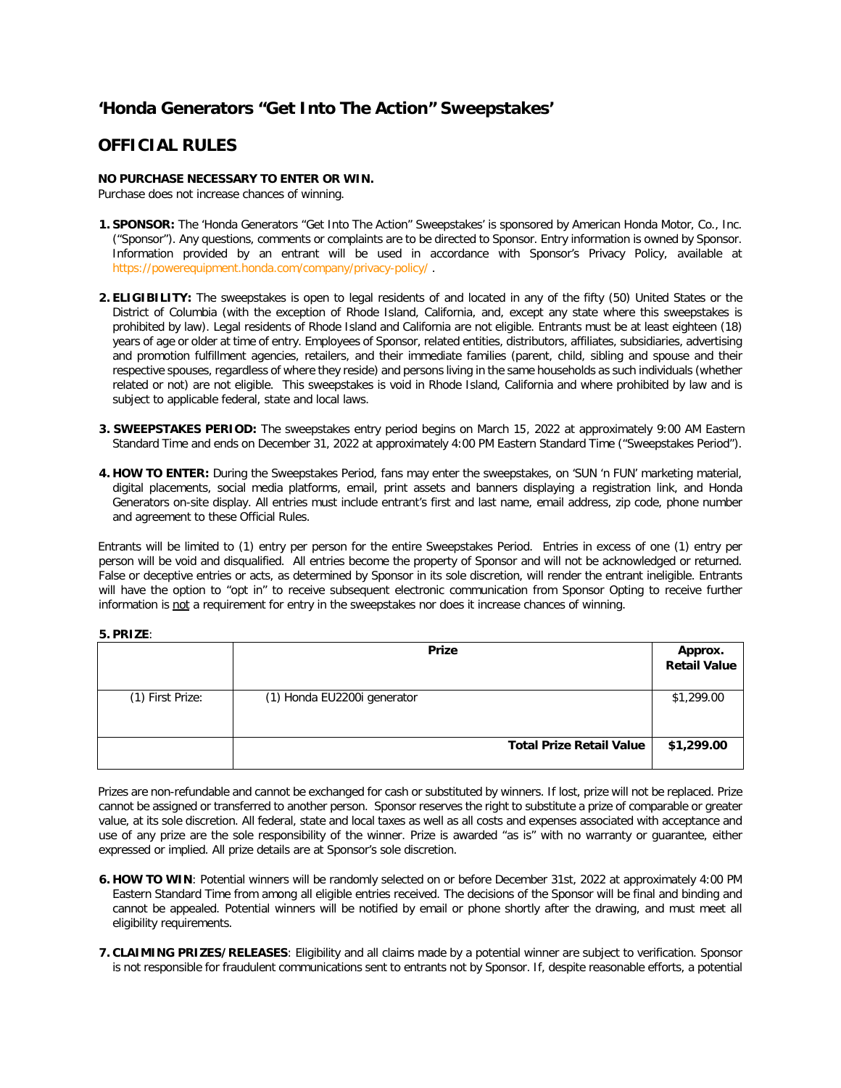## **'Honda Generators "Get Into The Action" Sweepstakes'**

## **OFFICIAL RULES**

## **NO PURCHASE NECESSARY TO ENTER OR WIN.**

Purchase does not increase chances of winning.

- **1. SPONSOR:** The 'Honda Generators "Get Into The Action" Sweepstakes' is sponsored by American Honda Motor, Co., Inc. ("Sponsor"). Any questions, comments or complaints are to be directed to Sponsor. Entry information is owned by Sponsor. Information provided by an entrant will be used in accordance with Sponsor's Privacy Policy, available at <https://powerequipment.honda.com/company/privacy-policy/> [.](https://powerequipment.honda.com/company/privacy-policy/)
- **2. ELIGIBILITY:** The sweepstakes is open to legal residents of and located in any of the fifty (50) United States or the District of Columbia (with the exception of Rhode Island, California, and, except any state where this sweepstakes is prohibited by law). Legal residents of Rhode Island and California are not eligible. Entrants must be at least eighteen (18) years of age or older at time of entry. Employees of Sponsor, related entities, distributors, affiliates, subsidiaries, advertising and promotion fulfillment agencies, retailers, and their immediate families (parent, child, sibling and spouse and their respective spouses, regardless of where they reside) and persons living in the same households as such individuals (whether related or not) are not eligible. This sweepstakes is void in Rhode Island, California and where prohibited by law and is subject to applicable federal, state and local laws.
- **3. SWEEPSTAKES PERIOD:** The sweepstakes entry period begins on March 15, 2022 at approximately 9:00 AM Eastern Standard Time and ends on December 31, 2022 at approximately 4:00 PM Eastern Standard Time ("Sweepstakes Period").
- **4. HOW TO ENTER:** During the Sweepstakes Period, fans may enter the sweepstakes, on 'SUN 'n FUN' marketing material, digital placements, social media platforms, email, print assets and banners displaying a registration link, and Honda Generators on-site display. All entries must include entrant's first and last name, email address, zip code, phone number and agreement to these Official Rules.

Entrants will be limited to (1) entry per person for the entire Sweepstakes Period. Entries in excess of one (1) entry per person will be void and disqualified. All entries become the property of Sponsor and will not be acknowledged or returned. False or deceptive entries or acts, as determined by Sponsor in its sole discretion, will render the entrant ineligible. Entrants will have the option to "opt in" to receive subsequent electronic communication from Sponsor Opting to receive further information is not a requirement for entry in the sweepstakes nor does it increase chances of winning.

## **5. PRIZE**:

|                  | <b>Prize</b>                    | Approx.<br><b>Retail Value</b> |
|------------------|---------------------------------|--------------------------------|
| (1) First Prize: | (1) Honda EU2200i generator     | \$1,299.00                     |
|                  | <b>Total Prize Retail Value</b> | \$1,299.00                     |

Prizes are non-refundable and cannot be exchanged for cash or substituted by winners. If lost, prize will not be replaced. Prize cannot be assigned or transferred to another person. Sponsor reserves the right to substitute a prize of comparable or greater value, at its sole discretion. All federal, state and local taxes as well as all costs and expenses associated with acceptance and use of any prize are the sole responsibility of the winner. Prize is awarded "as is" with no warranty or guarantee, either expressed or implied. All prize details are at Sponsor's sole discretion.

- **6. HOW TO WIN**: Potential winners will be randomly selected on or before December 31st, 2022 at approximately 4:00 PM Eastern Standard Time from among all eligible entries received. The decisions of the Sponsor will be final and binding and cannot be appealed. Potential winners will be notified by email or phone shortly after the drawing, and must meet all eligibility requirements.
- **7. CLAIMING PRIZES/RELEASES**: Eligibility and all claims made by a potential winner are subject to verification. Sponsor is not responsible for fraudulent communications sent to entrants not by Sponsor. If, despite reasonable efforts, a potential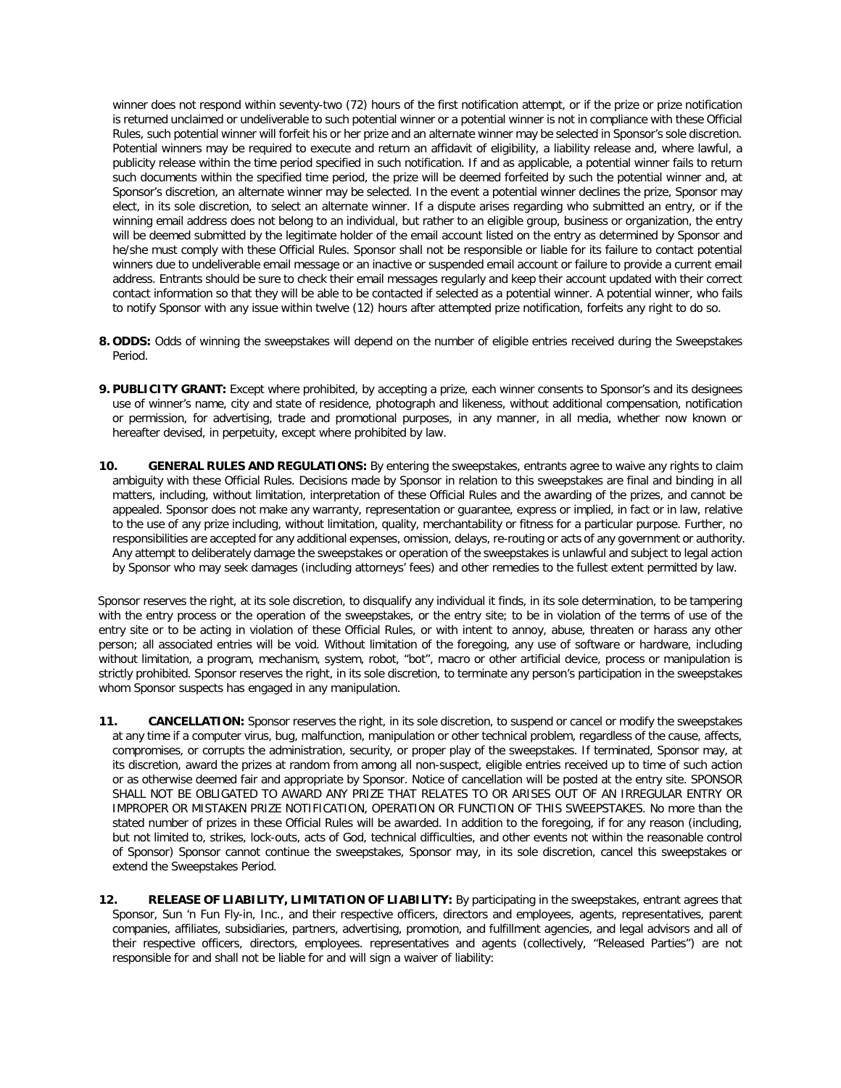winner does not respond within seventy-two (72) hours of the first notification attempt, or if the prize or prize notification is returned unclaimed or undeliverable to such potential winner or a potential winner is not in compliance with these Official Rules, such potential winner will forfeit his or her prize and an alternate winner may be selected in Sponsor's sole discretion. Potential winners may be required to execute and return an affidavit of eligibility, a liability release and, where lawful, a publicity release within the time period specified in such notification. If and as applicable, a potential winner fails to return such documents within the specified time period, the prize will be deemed forfeited by such the potential winner and, at Sponsor's discretion, an alternate winner may be selected. In the event a potential winner declines the prize, Sponsor may elect, in its sole discretion, to select an alternate winner. If a dispute arises regarding who submitted an entry, or if the winning email address does not belong to an individual, but rather to an eligible group, business or organization, the entry will be deemed submitted by the legitimate holder of the email account listed on the entry as determined by Sponsor and he/she must comply with these Official Rules. Sponsor shall not be responsible or liable for its failure to contact potential winners due to undeliverable email message or an inactive or suspended email account or failure to provide a current email address. Entrants should be sure to check their email messages regularly and keep their account updated with their correct contact information so that they will be able to be contacted if selected as a potential winner. A potential winner, who fails to notify Sponsor with any issue within twelve (12) hours after attempted prize notification, forfeits any right to do so.

- **8. ODDS:** Odds of winning the sweepstakes will depend on the number of eligible entries received during the Sweepstakes Period.
- **9. PUBLICITY GRANT:** Except where prohibited, by accepting a prize, each winner consents to Sponsor's and its designees use of winner's name, city and state of residence, photograph and likeness, without additional compensation, notification or permission, for advertising, trade and promotional purposes, in any manner, in all media, whether now known or hereafter devised, in perpetuity, except where prohibited by law.
- **10. GENERAL RULES AND REGULATIONS:** By entering the sweepstakes, entrants agree to waive any rights to claim ambiguity with these Official Rules. Decisions made by Sponsor in relation to this sweepstakes are final and binding in all matters, including, without limitation, interpretation of these Official Rules and the awarding of the prizes, and cannot be appealed. Sponsor does not make any warranty, representation or guarantee, express or implied, in fact or in law, relative to the use of any prize including, without limitation, quality, merchantability or fitness for a particular purpose. Further, no responsibilities are accepted for any additional expenses, omission, delays, re-routing or acts of any government or authority. Any attempt to deliberately damage the sweepstakes or operation of the sweepstakes is unlawful and subject to legal action by Sponsor who may seek damages (including attorneys' fees) and other remedies to the fullest extent permitted by law.

Sponsor reserves the right, at its sole discretion, to disqualify any individual it finds, in its sole determination, to be tampering with the entry process or the operation of the sweepstakes, or the entry site; to be in violation of the terms of use of the entry site or to be acting in violation of these Official Rules, or with intent to annoy, abuse, threaten or harass any other person; all associated entries will be void. Without limitation of the foregoing, any use of software or hardware, including without limitation, a program, mechanism, system, robot, "bot", macro or other artificial device, process or manipulation is strictly prohibited. Sponsor reserves the right, in its sole discretion, to terminate any person's participation in the sweepstakes whom Sponsor suspects has engaged in any manipulation.

- **11. CANCELLATION:** Sponsor reserves the right, in its sole discretion, to suspend or cancel or modify the sweepstakes at any time if a computer virus, bug, malfunction, manipulation or other technical problem, regardless of the cause, affects, compromises, or corrupts the administration, security, or proper play of the sweepstakes. If terminated, Sponsor may, at its discretion, award the prizes at random from among all non-suspect, eligible entries received up to time of such action or as otherwise deemed fair and appropriate by Sponsor. Notice of cancellation will be posted at the entry site. SPONSOR SHALL NOT BE OBLIGATED TO AWARD ANY PRIZE THAT RELATES TO OR ARISES OUT OF AN IRREGULAR ENTRY OR IMPROPER OR MISTAKEN PRIZE NOTIFICATION, OPERATION OR FUNCTION OF THIS SWEEPSTAKES. No more than the stated number of prizes in these Official Rules will be awarded. In addition to the foregoing, if for any reason (including, but not limited to, strikes, lock-outs, acts of God, technical difficulties, and other events not within the reasonable control of Sponsor) Sponsor cannot continue the sweepstakes, Sponsor may, in its sole discretion, cancel this sweepstakes or extend the Sweepstakes Period.
- **12. RELEASE OF LIABILITY, LIMITATION OF LIABILITY:** By participating in the sweepstakes, entrant agrees that Sponsor, Sun 'n Fun Fly-in, Inc., and their respective officers, directors and employees, agents, representatives, parent companies, affiliates, subsidiaries, partners, advertising, promotion, and fulfillment agencies, and legal advisors and all of their respective officers, directors, employees. representatives and agents (collectively, "Released Parties") are not responsible for and shall not be liable for and will sign a waiver of liability: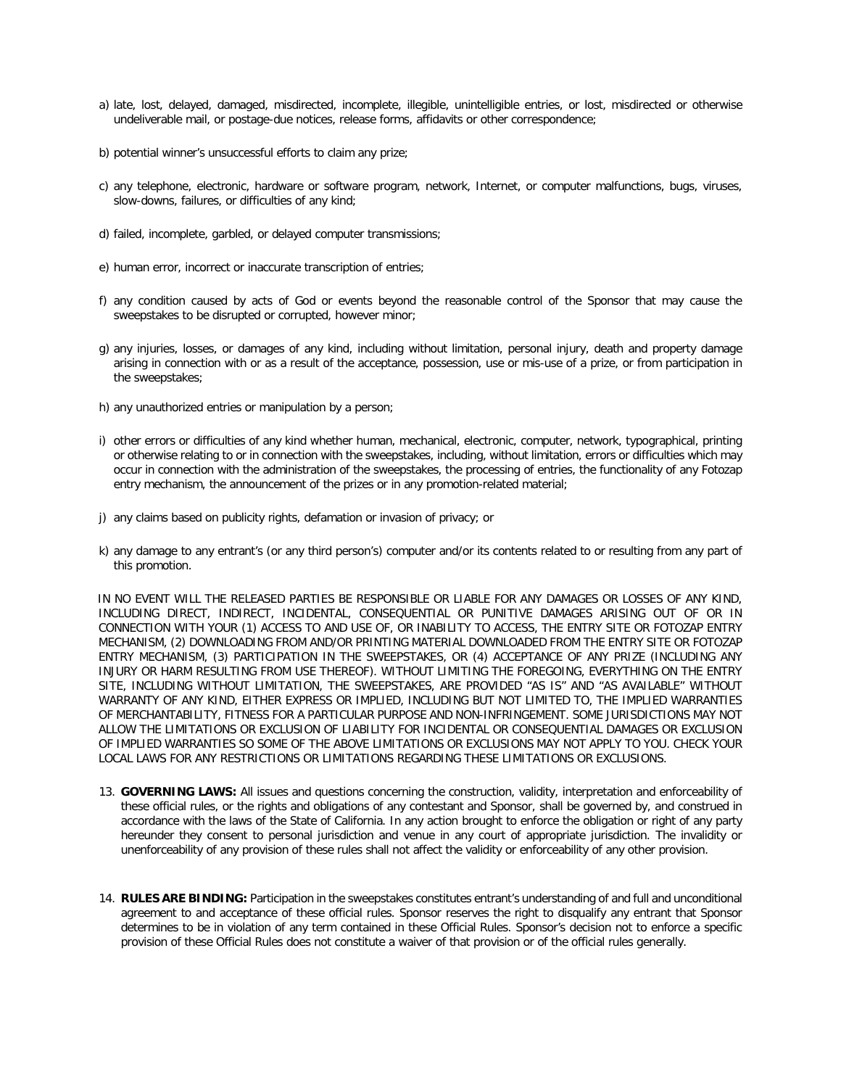- a) late, lost, delayed, damaged, misdirected, incomplete, illegible, unintelligible entries, or lost, misdirected or otherwise undeliverable mail, or postage-due notices, release forms, affidavits or other correspondence;
- b) potential winner's unsuccessful efforts to claim any prize;
- c) any telephone, electronic, hardware or software program, network, Internet, or computer malfunctions, bugs, viruses, slow-downs, failures, or difficulties of any kind;
- d) failed, incomplete, garbled, or delayed computer transmissions;
- e) human error, incorrect or inaccurate transcription of entries;
- f) any condition caused by acts of God or events beyond the reasonable control of the Sponsor that may cause the sweepstakes to be disrupted or corrupted, however minor;
- g) any injuries, losses, or damages of any kind, including without limitation, personal injury, death and property damage arising in connection with or as a result of the acceptance, possession, use or mis-use of a prize, or from participation in the sweepstakes;
- h) any unauthorized entries or manipulation by a person;
- i) other errors or difficulties of any kind whether human, mechanical, electronic, computer, network, typographical, printing or otherwise relating to or in connection with the sweepstakes, including, without limitation, errors or difficulties which may occur in connection with the administration of the sweepstakes, the processing of entries, the functionality of any Fotozap entry mechanism, the announcement of the prizes or in any promotion-related material;
- j) any claims based on publicity rights, defamation or invasion of privacy; or
- k) any damage to any entrant's (or any third person's) computer and/or its contents related to or resulting from any part of this promotion.

IN NO EVENT WILL THE RELEASED PARTIES BE RESPONSIBLE OR LIABLE FOR ANY DAMAGES OR LOSSES OF ANY KIND, INCLUDING DIRECT, INDIRECT, INCIDENTAL, CONSEQUENTIAL OR PUNITIVE DAMAGES ARISING OUT OF OR IN CONNECTION WITH YOUR (1) ACCESS TO AND USE OF, OR INABILITY TO ACCESS, THE ENTRY SITE OR FOTOZAP ENTRY MECHANISM, (2) DOWNLOADING FROM AND/OR PRINTING MATERIAL DOWNLOADED FROM THE ENTRY SITE OR FOTOZAP ENTRY MECHANISM, (3) PARTICIPATION IN THE SWEEPSTAKES, OR (4) ACCEPTANCE OF ANY PRIZE (INCLUDING ANY INJURY OR HARM RESULTING FROM USE THEREOF). WITHOUT LIMITING THE FOREGOING, EVERYTHING ON THE ENTRY SITE, INCLUDING WITHOUT LIMITATION, THE SWEEPSTAKES, ARE PROVIDED "AS IS" AND "AS AVAILABLE" WITHOUT WARRANTY OF ANY KIND, EITHER EXPRESS OR IMPLIED, INCLUDING BUT NOT LIMITED TO, THE IMPLIED WARRANTIES OF MERCHANTABILITY, FITNESS FOR A PARTICULAR PURPOSE AND NON-INFRINGEMENT. SOME JURISDICTIONS MAY NOT ALLOW THE LIMITATIONS OR EXCLUSION OF LIABILITY FOR INCIDENTAL OR CONSEQUENTIAL DAMAGES OR EXCLUSION OF IMPLIED WARRANTIES SO SOME OF THE ABOVE LIMITATIONS OR EXCLUSIONS MAY NOT APPLY TO YOU. CHECK YOUR LOCAL LAWS FOR ANY RESTRICTIONS OR LIMITATIONS REGARDING THESE LIMITATIONS OR EXCLUSIONS.

- 13. **GOVERNING LAWS:** All issues and questions concerning the construction, validity, interpretation and enforceability of these official rules, or the rights and obligations of any contestant and Sponsor, shall be governed by, and construed in accordance with the laws of the State of California. In any action brought to enforce the obligation or right of any party hereunder they consent to personal jurisdiction and venue in any court of appropriate jurisdiction. The invalidity or unenforceability of any provision of these rules shall not affect the validity or enforceability of any other provision.
- 14. **RULES ARE BINDING:** Participation in the sweepstakes constitutes entrant's understanding of and full and unconditional agreement to and acceptance of these official rules. Sponsor reserves the right to disqualify any entrant that Sponsor determines to be in violation of any term contained in these Official Rules. Sponsor's decision not to enforce a specific provision of these Official Rules does not constitute a waiver of that provision or of the official rules generally.